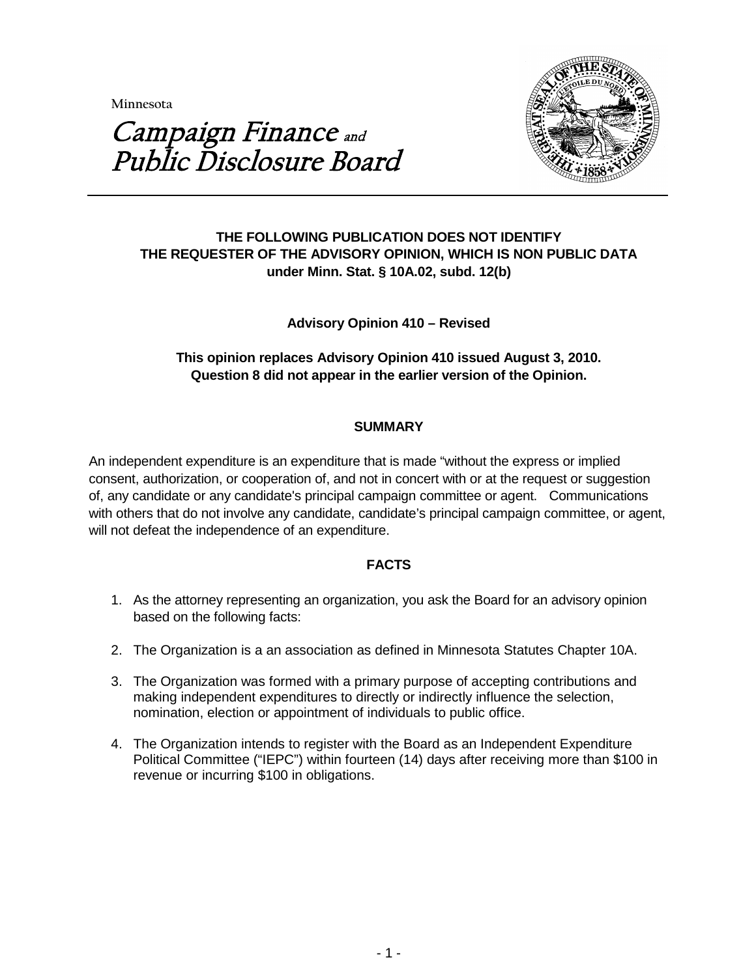**Minnesota** 



# Campaign Finance and Public Disclosure Board

## **THE FOLLOWING PUBLICATION DOES NOT IDENTIFY THE REQUESTER OF THE ADVISORY OPINION, WHICH IS NON PUBLIC DATA under Minn. Stat. § 10A.02, subd. 12(b)**

## **Advisory Opinion 410 – Revised**

## **This opinion replaces Advisory Opinion 410 issued August 3, 2010. Question 8 did not appear in the earlier version of the Opinion.**

### **SUMMARY**

An independent expenditure is an expenditure that is made "without the express or implied consent, authorization, or cooperation of, and not in concert with or at the request or suggestion of, any candidate or any candidate's principal campaign committee or agent. Communications with others that do not involve any candidate, candidate's principal campaign committee, or agent, will not defeat the independence of an expenditure.

#### **FACTS**

- 1. As the attorney representing an organization, you ask the Board for an advisory opinion based on the following facts:
- 2. The Organization is a an association as defined in Minnesota Statutes Chapter 10A.
- 3. The Organization was formed with a primary purpose of accepting contributions and making independent expenditures to directly or indirectly influence the selection, nomination, election or appointment of individuals to public office.
- 4. The Organization intends to register with the Board as an Independent Expenditure Political Committee ("IEPC") within fourteen (14) days after receiving more than \$100 in revenue or incurring \$100 in obligations.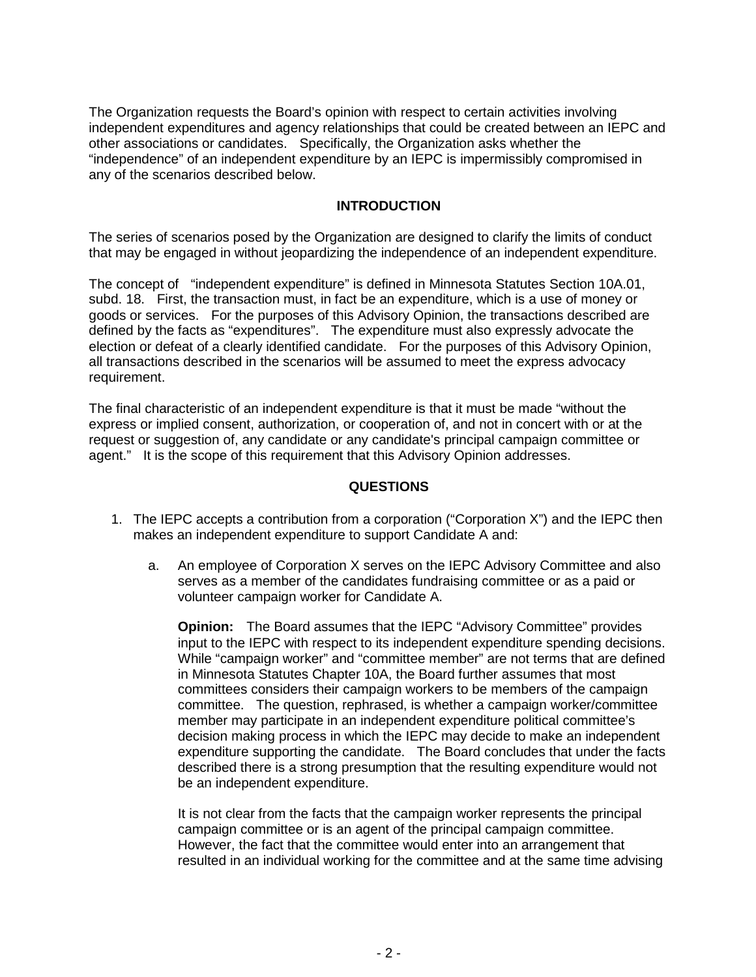The Organization requests the Board's opinion with respect to certain activities involving independent expenditures and agency relationships that could be created between an IEPC and other associations or candidates. Specifically, the Organization asks whether the "independence" of an independent expenditure by an IEPC is impermissibly compromised in any of the scenarios described below.

#### **INTRODUCTION**

The series of scenarios posed by the Organization are designed to clarify the limits of conduct that may be engaged in without jeopardizing the independence of an independent expenditure.

The concept of "independent expenditure" is defined in Minnesota Statutes Section 10A.01, subd. 18. First, the transaction must, in fact be an expenditure, which is a use of money or goods or services. For the purposes of this Advisory Opinion, the transactions described are defined by the facts as "expenditures". The expenditure must also expressly advocate the election or defeat of a clearly identified candidate. For the purposes of this Advisory Opinion, all transactions described in the scenarios will be assumed to meet the express advocacy requirement.

The final characteristic of an independent expenditure is that it must be made "without the express or implied consent, authorization, or cooperation of, and not in concert with or at the request or suggestion of, any candidate or any candidate's principal campaign committee or agent." It is the scope of this requirement that this Advisory Opinion addresses.

### **QUESTIONS**

- 1. The IEPC accepts a contribution from a corporation ("Corporation X") and the IEPC then makes an independent expenditure to support Candidate A and:
	- a. An employee of Corporation X serves on the IEPC Advisory Committee and also serves as a member of the candidates fundraising committee or as a paid or volunteer campaign worker for Candidate A.

**Opinion:** The Board assumes that the IEPC "Advisory Committee" provides input to the IEPC with respect to its independent expenditure spending decisions. While "campaign worker" and "committee member" are not terms that are defined in Minnesota Statutes Chapter 10A, the Board further assumes that most committees considers their campaign workers to be members of the campaign committee. The question, rephrased, is whether a campaign worker/committee member may participate in an independent expenditure political committee's decision making process in which the IEPC may decide to make an independent expenditure supporting the candidate. The Board concludes that under the facts described there is a strong presumption that the resulting expenditure would not be an independent expenditure.

It is not clear from the facts that the campaign worker represents the principal campaign committee or is an agent of the principal campaign committee. However, the fact that the committee would enter into an arrangement that resulted in an individual working for the committee and at the same time advising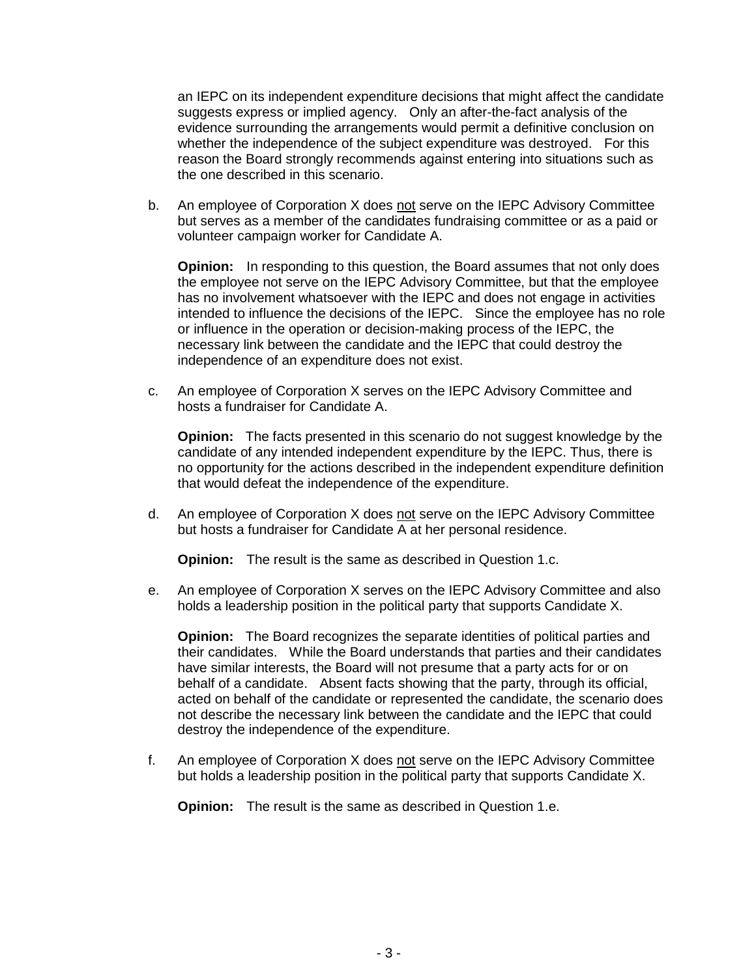an IEPC on its independent expenditure decisions that might affect the candidate suggests express or implied agency. Only an after-the-fact analysis of the evidence surrounding the arrangements would permit a definitive conclusion on whether the independence of the subject expenditure was destroyed. For this reason the Board strongly recommends against entering into situations such as the one described in this scenario.

b. An employee of Corporation X does not serve on the IEPC Advisory Committee but serves as a member of the candidates fundraising committee or as a paid or volunteer campaign worker for Candidate A.

**Opinion:** In responding to this question, the Board assumes that not only does the employee not serve on the IEPC Advisory Committee, but that the employee has no involvement whatsoever with the IEPC and does not engage in activities intended to influence the decisions of the IEPC. Since the employee has no role or influence in the operation or decision-making process of the IEPC, the necessary link between the candidate and the IEPC that could destroy the independence of an expenditure does not exist.

c. An employee of Corporation X serves on the IEPC Advisory Committee and hosts a fundraiser for Candidate A.

**Opinion:** The facts presented in this scenario do not suggest knowledge by the candidate of any intended independent expenditure by the IEPC. Thus, there is no opportunity for the actions described in the independent expenditure definition that would defeat the independence of the expenditure.

d. An employee of Corporation X does not serve on the IEPC Advisory Committee but hosts a fundraiser for Candidate  $\overline{A}$  at her personal residence.

**Opinion:** The result is the same as described in Question 1.c.

e. An employee of Corporation X serves on the IEPC Advisory Committee and also holds a leadership position in the political party that supports Candidate X.

**Opinion:** The Board recognizes the separate identities of political parties and their candidates. While the Board understands that parties and their candidates have similar interests, the Board will not presume that a party acts for or on behalf of a candidate. Absent facts showing that the party, through its official, acted on behalf of the candidate or represented the candidate, the scenario does not describe the necessary link between the candidate and the IEPC that could destroy the independence of the expenditure.

f. An employee of Corporation X does not serve on the IEPC Advisory Committee but holds a leadership position in the political party that supports Candidate X.

**Opinion:** The result is the same as described in Question 1.e.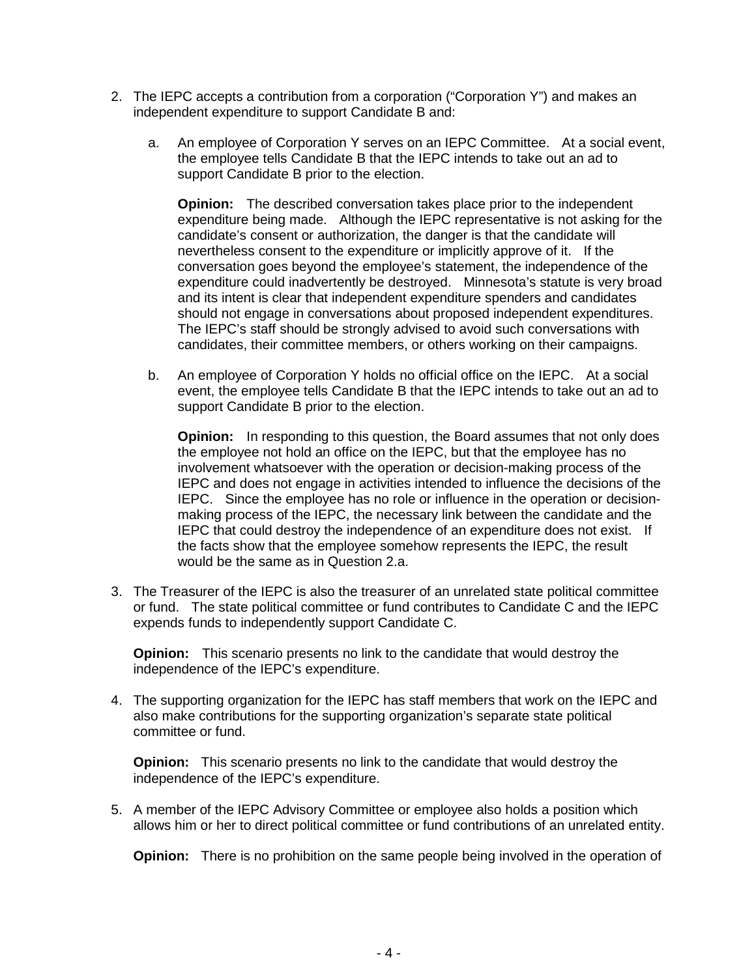- 2. The IEPC accepts a contribution from a corporation ("Corporation Y") and makes an independent expenditure to support Candidate B and:
	- a. An employee of Corporation Y serves on an IEPC Committee. At a social event, the employee tells Candidate B that the IEPC intends to take out an ad to support Candidate B prior to the election.

**Opinion:** The described conversation takes place prior to the independent expenditure being made. Although the IEPC representative is not asking for the candidate's consent or authorization, the danger is that the candidate will nevertheless consent to the expenditure or implicitly approve of it. If the conversation goes beyond the employee's statement, the independence of the expenditure could inadvertently be destroyed. Minnesota's statute is very broad and its intent is clear that independent expenditure spenders and candidates should not engage in conversations about proposed independent expenditures. The IEPC's staff should be strongly advised to avoid such conversations with candidates, their committee members, or others working on their campaigns.

b. An employee of Corporation Y holds no official office on the IEPC. At a social event, the employee tells Candidate B that the IEPC intends to take out an ad to support Candidate B prior to the election.

**Opinion:** In responding to this question, the Board assumes that not only does the employee not hold an office on the IEPC, but that the employee has no involvement whatsoever with the operation or decision-making process of the IEPC and does not engage in activities intended to influence the decisions of the IEPC. Since the employee has no role or influence in the operation or decisionmaking process of the IEPC, the necessary link between the candidate and the IEPC that could destroy the independence of an expenditure does not exist. If the facts show that the employee somehow represents the IEPC, the result would be the same as in Question 2.a.

3. The Treasurer of the IEPC is also the treasurer of an unrelated state political committee or fund. The state political committee or fund contributes to Candidate C and the IEPC expends funds to independently support Candidate C.

**Opinion:** This scenario presents no link to the candidate that would destroy the independence of the IEPC's expenditure.

4. The supporting organization for the IEPC has staff members that work on the IEPC and also make contributions for the supporting organization's separate state political committee or fund.

**Opinion:** This scenario presents no link to the candidate that would destroy the independence of the IEPC's expenditure.

5. A member of the IEPC Advisory Committee or employee also holds a position which allows him or her to direct political committee or fund contributions of an unrelated entity.

**Opinion:** There is no prohibition on the same people being involved in the operation of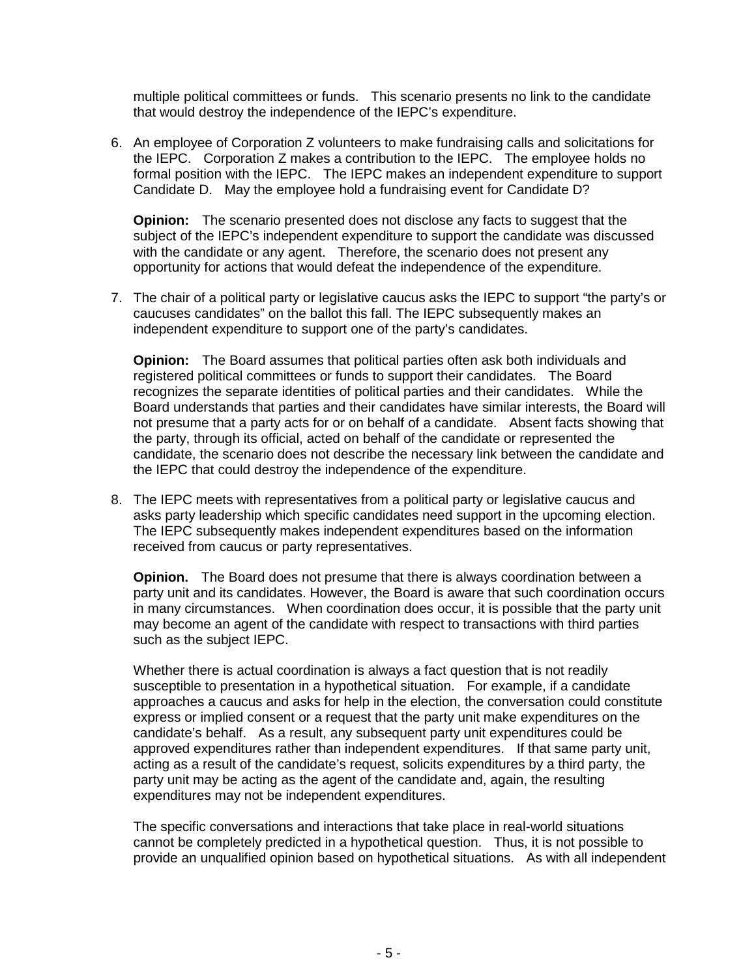multiple political committees or funds. This scenario presents no link to the candidate that would destroy the independence of the IEPC's expenditure.

6. An employee of Corporation Z volunteers to make fundraising calls and solicitations for the IEPC. Corporation Z makes a contribution to the IEPC. The employee holds no formal position with the IEPC. The IEPC makes an independent expenditure to support Candidate D. May the employee hold a fundraising event for Candidate D?

**Opinion:** The scenario presented does not disclose any facts to suggest that the subject of the IEPC's independent expenditure to support the candidate was discussed with the candidate or any agent. Therefore, the scenario does not present any opportunity for actions that would defeat the independence of the expenditure.

7. The chair of a political party or legislative caucus asks the IEPC to support "the party's or caucuses candidates" on the ballot this fall. The IEPC subsequently makes an independent expenditure to support one of the party's candidates.

**Opinion:** The Board assumes that political parties often ask both individuals and registered political committees or funds to support their candidates. The Board recognizes the separate identities of political parties and their candidates. While the Board understands that parties and their candidates have similar interests, the Board will not presume that a party acts for or on behalf of a candidate. Absent facts showing that the party, through its official, acted on behalf of the candidate or represented the candidate, the scenario does not describe the necessary link between the candidate and the IEPC that could destroy the independence of the expenditure.

8. The IEPC meets with representatives from a political party or legislative caucus and asks party leadership which specific candidates need support in the upcoming election. The IEPC subsequently makes independent expenditures based on the information received from caucus or party representatives.

**Opinion.** The Board does not presume that there is always coordination between a party unit and its candidates. However, the Board is aware that such coordination occurs in many circumstances. When coordination does occur, it is possible that the party unit may become an agent of the candidate with respect to transactions with third parties such as the subject IEPC.

Whether there is actual coordination is always a fact question that is not readily susceptible to presentation in a hypothetical situation. For example, if a candidate approaches a caucus and asks for help in the election, the conversation could constitute express or implied consent or a request that the party unit make expenditures on the candidate's behalf. As a result, any subsequent party unit expenditures could be approved expenditures rather than independent expenditures. If that same party unit, acting as a result of the candidate's request, solicits expenditures by a third party, the party unit may be acting as the agent of the candidate and, again, the resulting expenditures may not be independent expenditures.

The specific conversations and interactions that take place in real-world situations cannot be completely predicted in a hypothetical question. Thus, it is not possible to provide an unqualified opinion based on hypothetical situations. As with all independent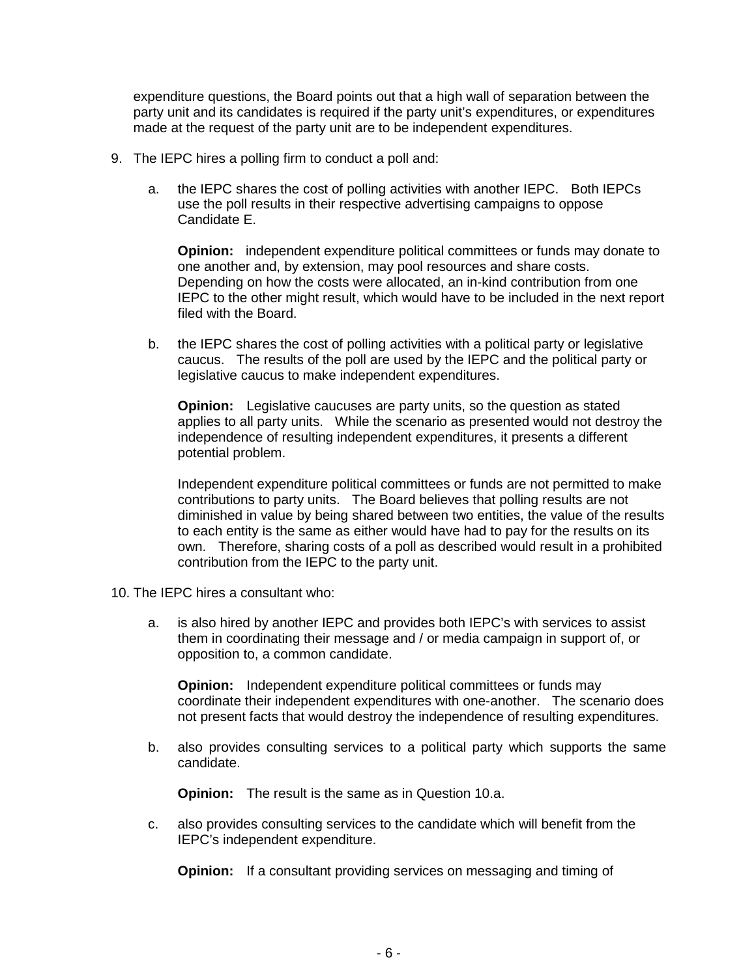expenditure questions, the Board points out that a high wall of separation between the party unit and its candidates is required if the party unit's expenditures, or expenditures made at the request of the party unit are to be independent expenditures.

- 9. The IEPC hires a polling firm to conduct a poll and:
	- a. the IEPC shares the cost of polling activities with another IEPC. Both IEPCs use the poll results in their respective advertising campaigns to oppose Candidate E.

**Opinion:** independent expenditure political committees or funds may donate to one another and, by extension, may pool resources and share costs. Depending on how the costs were allocated, an in-kind contribution from one IEPC to the other might result, which would have to be included in the next report filed with the Board.

b. the IEPC shares the cost of polling activities with a political party or legislative caucus. The results of the poll are used by the IEPC and the political party or legislative caucus to make independent expenditures.

**Opinion:** Legislative caucuses are party units, so the question as stated applies to all party units. While the scenario as presented would not destroy the independence of resulting independent expenditures, it presents a different potential problem.

Independent expenditure political committees or funds are not permitted to make contributions to party units. The Board believes that polling results are not diminished in value by being shared between two entities, the value of the results to each entity is the same as either would have had to pay for the results on its own. Therefore, sharing costs of a poll as described would result in a prohibited contribution from the IEPC to the party unit.

- 10. The IEPC hires a consultant who:
	- a. is also hired by another IEPC and provides both IEPC's with services to assist them in coordinating their message and / or media campaign in support of, or opposition to, a common candidate.

**Opinion:** Independent expenditure political committees or funds may coordinate their independent expenditures with one-another. The scenario does not present facts that would destroy the independence of resulting expenditures.

b. also provides consulting services to a political party which supports the same candidate.

**Opinion:** The result is the same as in Question 10.a.

c. also provides consulting services to the candidate which will benefit from the IEPC's independent expenditure.

**Opinion:** If a consultant providing services on messaging and timing of